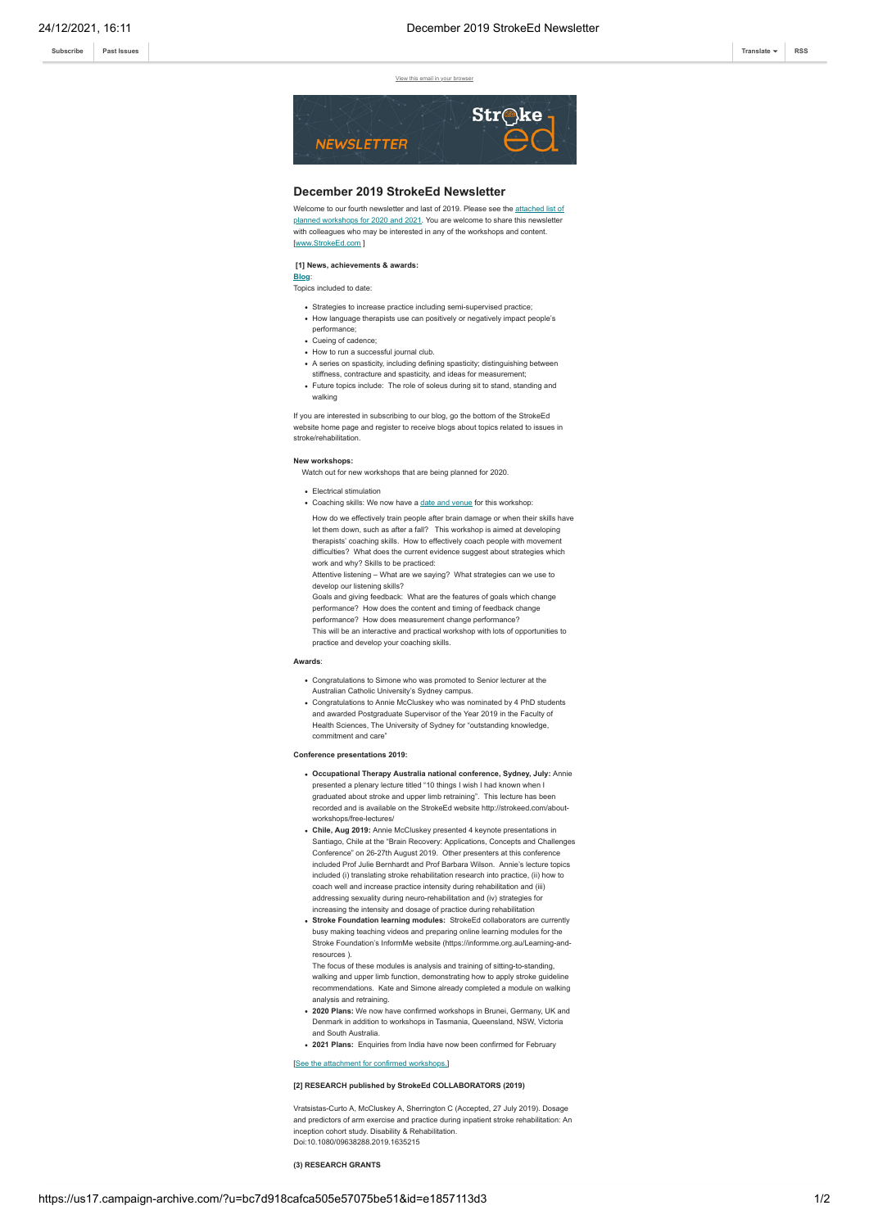**[Subscribe](http://eepurl.com/dALkcT) [Past Issues](https://us17.campaign-archive.com/home/?u=bc7d918cafca505e57075be51&id=1c918590b8) [Translate](javascript:;) [RSS](https://us17.campaign-archive.com/feed?u=bc7d918cafca505e57075be51&id=1c918590b8)**

View this email in your br



## **December 2019 StrokeEd Newsletter**

[Welcome to our fourth newsletter and last of 2019. Please see the attached list of](https://gallery.mailchimp.com/bc7d918cafca505e57075be51/files/d023b876-7471-48e7-b7f4-203eef64b758/Workshop_table_2020_21.pdf) planned workshops for 2020 and 2021. You are welcome to share this newsletter with colleagues who may be interested in any of the workshops and content. [[www.StrokeEd.com](http://www.strokeed.com/) ]

# **[1] News, achievements & awards:**

**[Blog](http://strokeed.com/blog/)**: Topics included to date:

- Strategies to increase practice including semi-supervised practice;
- How language therapists use can positively or negatively impact people's
- performance;
- Cueing of cadence;
- How to run a successful journal club.
- A series on spasticity, including defining spasticity; distinguishing between stiffness, contracture and spasticity, and ideas for measurement
- Future topics include: The role of soleus during sit to stand, standing and walking

If you are interested in subscribing to our blog, go the bottom of the StrokeEd website home page and register to receive blogs about topics related to issues in stroke/rehabilitation.

**New workshops:**

- Watch out for new workshops that are being planned for 2020.
- Electrical stimulation
- Coaching skills: We now have a [date and venue](http://strokeed.com/workshop/new-coaching-skills-workshop-sydney-nsw/) for this workshop

How do we effectively train people after brain damage or when their skills have let them down, such as after a fall? This workshop is aimed at developing therapists' coaching skills. How to effectively coach people with movement difficulties? What does the current evidence suggest about strategies which work and why? Skills to be practiced:

Attentive listening – What are we saying? What strategies can we use to develop our listening skills?

Goals and giving feedback: What are the features of goals which change performance? How does the content and timing of feedback change performance? How does measurement change performance? This will be an interactive and practical workshop with lots of opportunities to practice and develop your coaching skills.

### **Awards**:

- Congratulations to Simone who was promoted to Senior lecturer at the Australian Catholic University's Sydney campus.
- Congratulations to Annie McCluskey who was nominated by 4 PhD students and awarded Postgraduate Supervisor of the Year 2019 in the Faculty of Health Sciences, The University of Sydney for "outstanding knowledge, commitment and care

#### **Conference presentations 2019:**

- **Occupational Therapy Australia national conference, Sydney, July:** Annie presented a plenary lecture titled "10 things I wish I had known when I graduated about stroke and upper limb retraining". This lecture has been recorded and is available on the StrokeEd website http://strokeed.com/aboutworkshops/free-lectures/
- **Chile, Aug 2019:** Annie McCluskey presented 4 keynote presentations in Santiago, Chile at the "Brain Recovery: Applications, Concepts and Challenges Conference" on 26-27th August 2019. Other presenters at this conference included Prof Julie Bernhardt and Prof Barbara Wilson. Annie's lecture topics included (i) translating stroke rehabilitation research into practice, (ii) how to coach well and increase practice intensity during rehabilitation and (iii) addressing sexuality during neuro-rehabilitation and (iv) strategies for
- increasing the intensity and dosage of practice during rehabilitation **Stroke Foundation learning modules:** StrokeEd collaborators are currently busy making teaching videos and preparing online learning modules for the Stroke Foundation's InformMe website (https://informme.org.au/Learning-andresources ).

The focus of these modules is analysis and training of sitting-to-standing, walking and upper limb function, demonstrating how to apply stroke guideline recommendations. Kate and Simone already completed a module on walking analysis and retraining.

- **2020 Plans:** We now have confirmed workshops in Brunei, Germany, UK and Denmark in addition to workshops in Tasmania, Queensland, NSW, Victoria
- and South Australia. **2021 Plans:** Enquiries from India have now been confirmed for February

## ent for confirmed workshops.]

#### **[2] RESEARCH published by StrokeEd COLLABORATORS (2019)**

Vratsistas-Curto A, McCluskey A, Sherrington C (Accepted, 27 July 2019). Dosage and predictors of arm exercise and practice during inpatient stroke rehabilitation: An inception cohort study. Disability & Rehabilitation. Doi:10.1080/09638288.2019.1635215

**(3) RESEARCH GRANTS**